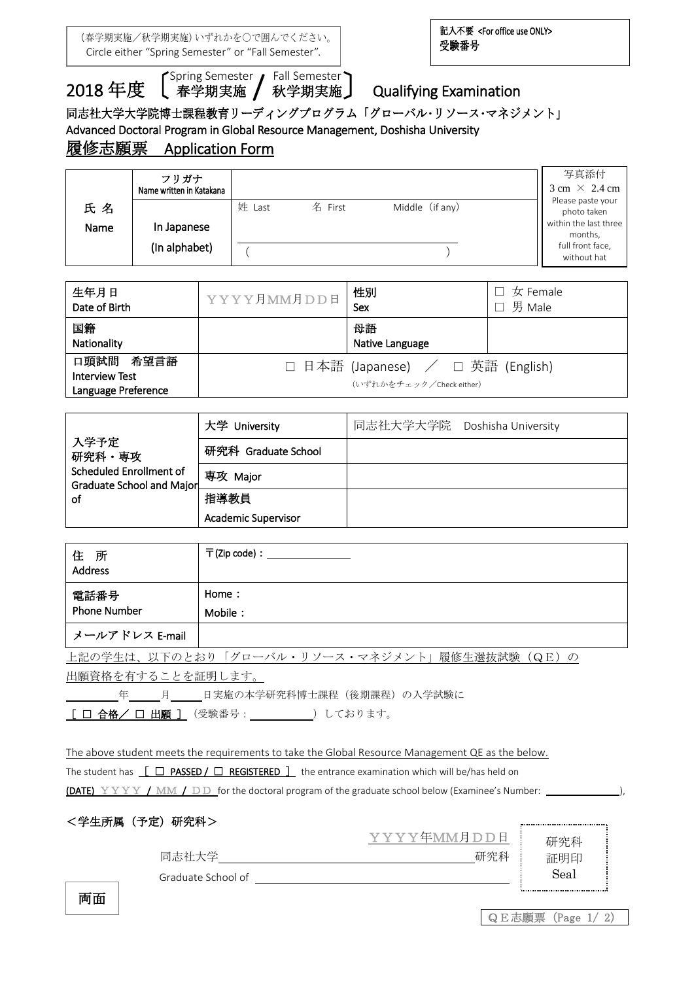(春学期実施/秋学期実施)いずれかを○で囲んでください。 Circle either "Spring Semester" or "Fall Semester".

 $\overline{a}$ 

# 2018年度 Spring Semester / Fall Semester

し 春学期実施 / 秋学期実施亅

# **Qualifying Examination**

## 同志社大学大学院博士課程教育リーディングプログラム「グローバル・リソース・マネジメント」

Advanced Doctoral Program in Global Resource Management, Doshisha University

## 履修志願票 Application Form

|      | フリガナ<br>Name written in Katakana |        |         |                 | 写真添付<br>$3 \text{ cm} \times 2.4 \text{ cm}$ |
|------|----------------------------------|--------|---------|-----------------|----------------------------------------------|
| 氏名   |                                  | 姓 Last | 名 First | Middle (if any) | Please paste your<br>photo taken             |
| Name | In Japanese                      |        |         |                 | within the last three<br>months,             |
|      | (In alphabet)                    |        |         |                 | full front face,<br>without hat              |

| 生年月日<br>Date of Birth                                     | YYYY月MM月DD日 | 性別<br>Sex                                                     | $\square$ 女 Female<br>男 Male |
|-----------------------------------------------------------|-------------|---------------------------------------------------------------|------------------------------|
| 国籍<br>Nationality                                         |             | 母語<br>Native Language                                         |                              |
| 口頭試問 希望言語<br><b>Interview Test</b><br>Language Preference |             | □ 日本語 (Japanese) / □ 英語 (English)<br>(いずれかをチェック/Check either) |                              |

|                                                      | 大学 University              | 同志社大学大学院 Doshisha University |
|------------------------------------------------------|----------------------------|------------------------------|
| 入学予定<br>研究科・専攻                                       | 研究科 Graduate School        |                              |
| Scheduled Enrollment of<br>Graduate School and Major | 専攻 Major                   |                              |
| 0f                                                   | 指導教員                       |                              |
|                                                      | <b>Academic Supervisor</b> |                              |

| 住<br>所<br>Address           | 〒(Zip code):                                   |
|-----------------------------|------------------------------------------------|
| 電話番号<br><b>Phone Number</b> | Home:<br>Mobile:                               |
| メールアドレス E-mail              |                                                |
|                             | 上記の学生は、以下のとおり「グローバル・リソース・マネジメント」履修生選抜試験 (QE) の |

出願資格を有することを証明します。

年 月 日実施の本学研究科博士課程(後期課程)の入学試験に

 $\frac{[ \ \, \Box \ \, \hat{C}_1 \, \hat{C}_2 \, \hat{C}_3 \, \hat{C}_4 \, \hat{C}_5 \, \hat{C}_5 \, \hat{C}_6 \, \hat{C}_7 \, \hat{C}_7 \, \hat{C}_7 \, \hat{C}_7 \, \hat{C}_7 \, \hat{C}_7 \, \hat{C}_7 \, \hat{C}_7 \, \hat{C}_7 \, \hat{C}_7 \, \hat{C}_7 \, \hat{C}_7 \, \hat{C}_7 \, \hat{C}_7 \, \hat{C}_7 \, \hat{C}_7 \, \hat{C}_7 \, \hat{C}_7 \, \hat{C$ 

The above student meets the requirements to take the Global Resource Management QE as the below.

The student has  $\left[\begin{array}{cc} \Box \ \text{PASSED}\end{array}\right]$  REGISTERED  $\left.\begin{array}{cc} \end{array}\right]$  the entrance examination which will be/has held on

(DATE) YYYY / MM / DD for the doctoral program of the graduate school below (Examinee's Number: \_\_\_\_\_\_\_\_\_\_\_\_\_\_)

YYYY年MM月DD日

| <学生所属(予定)研究科> |  |
|---------------|--|
|               |  |

|       |  |  | - - - - - - - - - - - - - - |     |  |
|-------|--|--|-----------------------------|-----|--|
|       |  |  |                             |     |  |
|       |  |  |                             |     |  |
| 同志社大学 |  |  |                             | 研究科 |  |
|       |  |  |                             |     |  |

Graduate School of

研究科 証明印 Seal

両面

| QE志願票 (Page 1/ |  |
|----------------|--|
|----------------|--|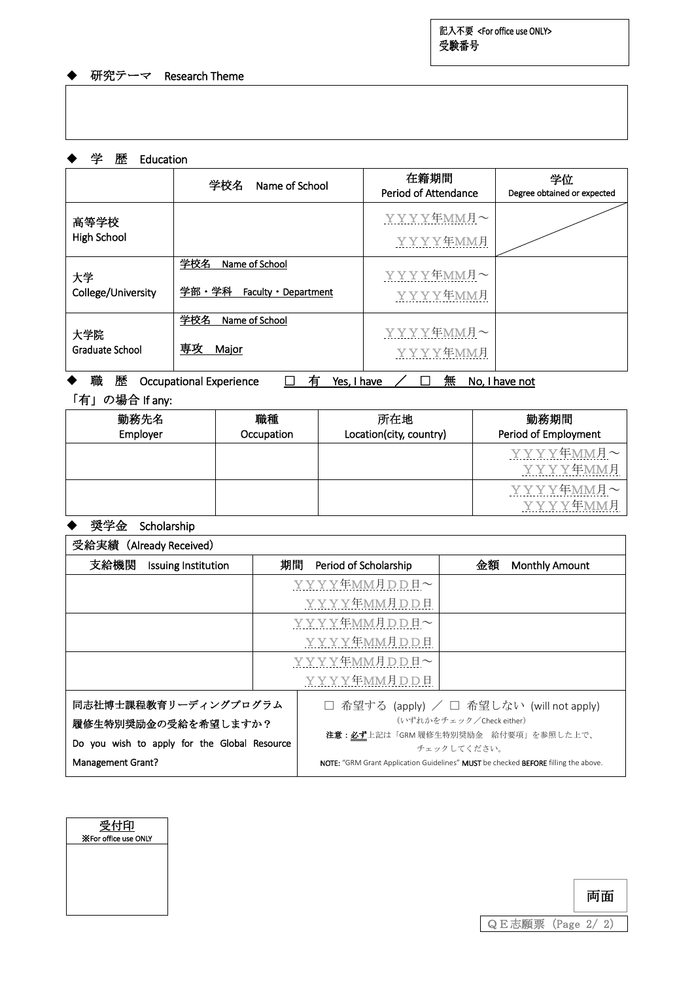記入不要 <For office use ONLY> 受験番号

 $\overline{a}$ 

#### ◆ 研究テーマ Research Theme

#### ◆ 学 歴 Education

|                               | 学校名<br>Name of School                                     | 在籍期間<br>Period of Attendance | 学位<br>Degree obtained or expected |
|-------------------------------|-----------------------------------------------------------|------------------------------|-----------------------------------|
| 高等学校<br><b>High School</b>    |                                                           | YYYY年MM月~<br>YYYY年MM月        |                                   |
| 大学<br>College/University      | 学校名<br>Name of School<br>学部・学科<br>Faculty •<br>Department | YYYY年MM月~<br>YYYY年MM月        |                                   |
| 大学院<br><b>Graduate School</b> | 学校名<br>Name of School<br>専攻<br>Major                      | YYYY年MM月~<br>YYYY年MM月        |                                   |

## ◆ 職 歴 Occupational Experience □ 有 Yes, I have / □ 無 No, I have not

## 「有」の場合 If any:

| 勤務先名<br>Employer | 職種<br>Occupation | 所在地<br>Location(city, country) | 勤務期間<br>Period of Employment |
|------------------|------------------|--------------------------------|------------------------------|
|                  |                  |                                | YYYY年MM月~<br>YYYY年MM月        |
|                  |                  |                                | YYYY年MM月~<br>YYYY年MM月        |

#### ◆ 奨学金 Scholarship

| 受給実績 (Already Received)                      |              |                                                                                                                        |                                         |  |
|----------------------------------------------|--------------|------------------------------------------------------------------------------------------------------------------------|-----------------------------------------|--|
| 支給機関<br>Issuing Institution                  | 期間           | Period of Scholarship                                                                                                  | 金額<br><b>Monthly Amount</b>             |  |
|                                              |              | YYYY年MM月DD日~                                                                                                           |                                         |  |
|                                              |              | YYYY年MM月DD日                                                                                                            |                                         |  |
|                                              |              | YYYY年MM月DD日~                                                                                                           |                                         |  |
|                                              |              | YYYY年MM月DD日                                                                                                            |                                         |  |
|                                              | YYYY年MM月DD日~ |                                                                                                                        |                                         |  |
|                                              |              | YYYY年MM月DD日                                                                                                            |                                         |  |
| 同志社博士課程教育リーディングプログラム                         |              |                                                                                                                        | 希望する (apply) / □ 希望しない (will not apply) |  |
| 履修生特別奨励金の受給を希望しますか?                          |              | (いずれかをチェック/Check either)                                                                                               |                                         |  |
| Do you wish to apply for the Global Resource |              | 注意:必ず上記は「GRM 履修生特別奨励金 給付要項」を参照した上で、                                                                                    |                                         |  |
| Management Grant?                            |              | チェックしてください。<br><b>NOTE:</b> "GRM Grant Application Guidelines" <b>MUST</b> be checked <b>BEFORE</b> filling the above. |                                         |  |



|                   | 両面 |  |
|-------------------|----|--|
| QE志願票 (Page 2/ 2) |    |  |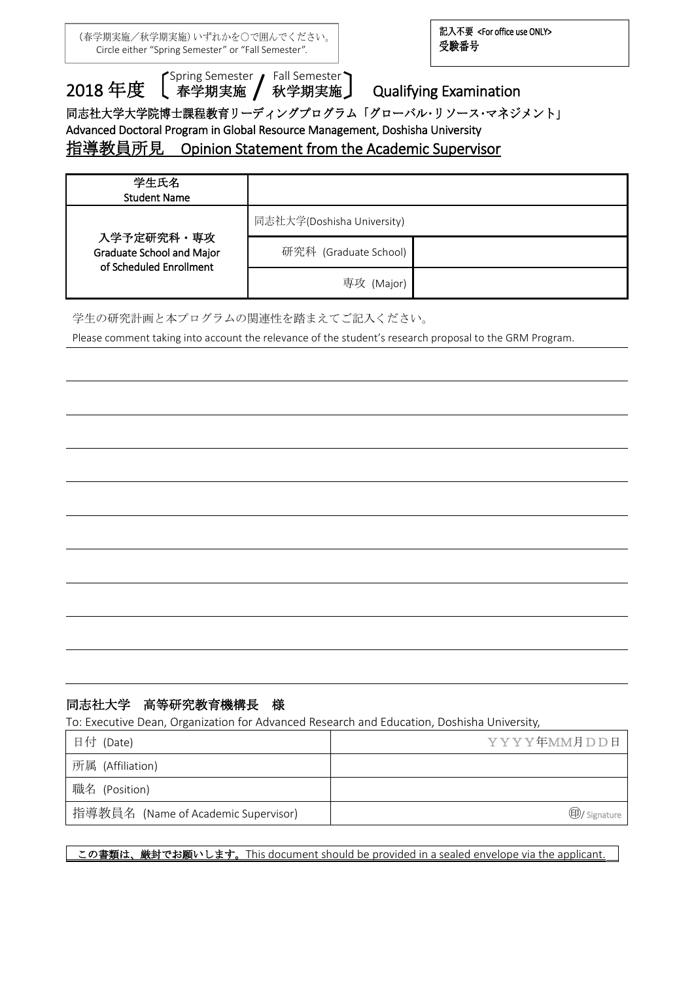(春学期実施/秋学期実施)いずれかを○で囲んでください。 Circle either "Spring Semester" or "Fall Semester".

記入不要 <For office use ONLY> 受験番号

 $\overline{a}$ 

2018年度 <sup>Spring Semester</sup> / Fall Semester'<br>2018年度 【 春学期実施 / 秋学期実施 し 春学期実施 / 秋学期実施 】

## **Qualifying Examination**

同志社大学大学院博士課程教育リーディングプログラム「グローバル・リソース・マネジメント」

Advanced Doctoral Program in Global Resource Management, Doshisha University

# 指導教員所見 Opinion Statement from the Academic Supervisor

| 学生氏名<br><b>Student Name</b>                                        |                            |  |
|--------------------------------------------------------------------|----------------------------|--|
|                                                                    | 同志社大学(Doshisha University) |  |
| 入学予定研究科・専攻<br>Graduate School and Major<br>of Scheduled Enrollment | 研究科 (Graduate School)      |  |
|                                                                    | 専攻 (Major)                 |  |

学生の研究計画と本プログラムの関連性を踏まえてご記入ください。

Please comment taking into account the relevance of the student's research proposal to the GRM Program.

### 同志社大学 高等研究教育機構長 様

To: Executive Dean, Organization for Advanced Research and Education, Doshisha University,

| 日付 (Date)                           | YYYY年MM月DD日         |
|-------------------------------------|---------------------|
| 所属 (Affiliation)                    |                     |
| 職名 (Position)                       |                     |
| 指導教員名 (Name of Academic Supervisor) | <b>D</b> /Signature |

この書類は、厳封でお願いします。This document should be provided in a sealed envelope via the applicant.